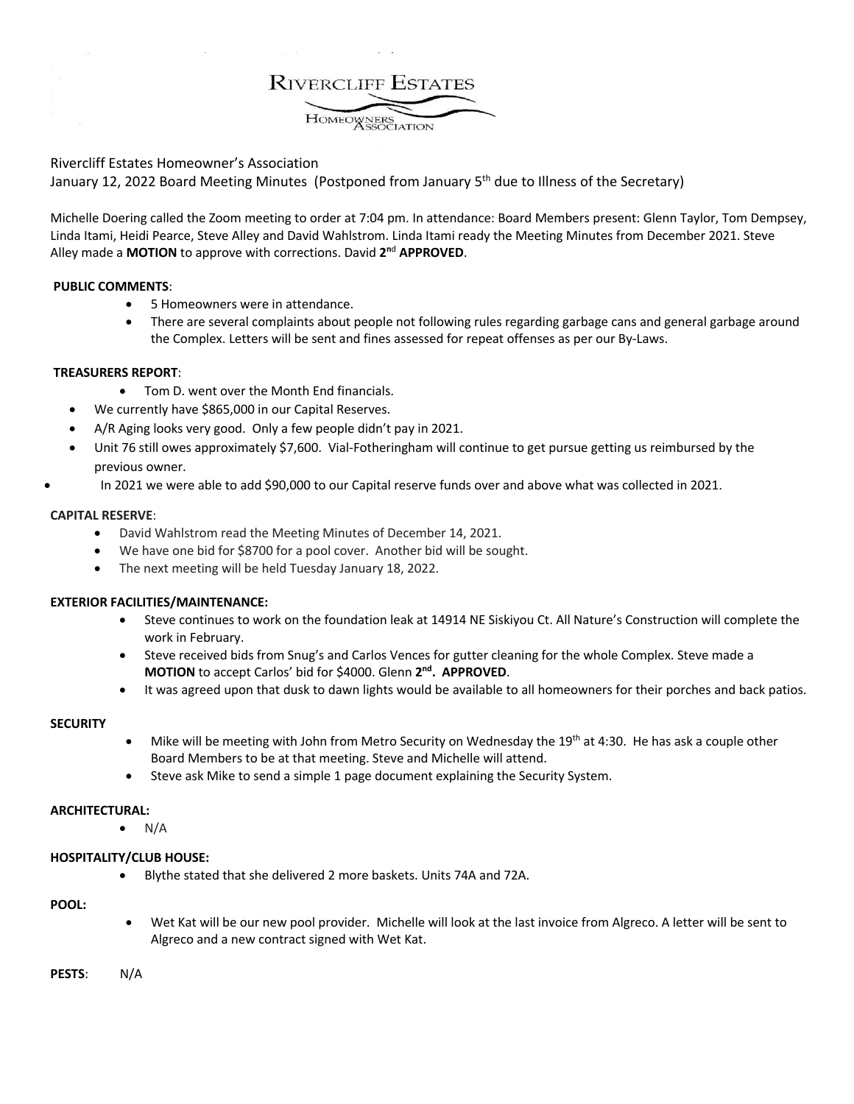**RIVERCLIFF ESTATES** HOMEOWNERS

# Rivercliff Estates Homeowner's Association

January 12, 2022 Board Meeting Minutes (Postponed from January 5<sup>th</sup> due to Illness of the Secretary)

Michelle Doering called the Zoom meeting to order at 7:04 pm. In attendance: Board Members present: Glenn Taylor, Tom Dempsey, Linda Itami, Heidi Pearce, Steve Alley and David Wahlstrom. Linda Itami ready the Meeting Minutes from December 2021. Steve Alley made a **MOTION** to approve with corrections. David **2n**<sup>d</sup> **APPROVED**.

### **PUBLIC COMMENTS**:

- 5 Homeowners were in attendance.
- There are several complaints about people not following rules regarding garbage cans and general garbage around the Complex. Letters will be sent and fines assessed for repeat offenses as per our By-Laws.

### **TREASURERS REPORT**:

- Tom D. went over the Month End financials.
- We currently have \$865,000 in our Capital Reserves.
- A/R Aging looks very good. Only a few people didn't pay in 2021.
- Unit 76 still owes approximately \$7,600. Vial-Fotheringham will continue to get pursue getting us reimbursed by the previous owner.
- In 2021 we were able to add \$90,000 to our Capital reserve funds over and above what was collected in 2021.

### **CAPITAL RESERVE**:

- David Wahlstrom read the Meeting Minutes of December 14, 2021.
- We have one bid for \$8700 for a pool cover. Another bid will be sought.
- The next meeting will be held Tuesday January 18, 2022.

## **EXTERIOR FACILITIES/MAINTENANCE:**

- Steve continues to work on the foundation leak at 14914 NE Siskiyou Ct. All Nature's Construction will complete the work in February.
- Steve received bids from Snug's and Carlos Vences for gutter cleaning for the whole Complex. Steve made a **MOTION** to accept Carlos' bid for \$4000. Glenn **2nd. APPROVED**.
- It was agreed upon that dusk to dawn lights would be available to all homeowners for their porches and back patios.

## **SECURITY**

- Mike will be meeting with John from Metro Security on Wednesday the 19<sup>th</sup> at 4:30. He has ask a couple other Board Members to be at that meeting. Steve and Michelle will attend.
- Steve ask Mike to send a simple 1 page document explaining the Security System.

#### **ARCHITECTURAL:**

 $\bullet$  N/A

## **HOSPITALITY/CLUB HOUSE:**

• Blythe stated that she delivered 2 more baskets. Units 74A and 72A.

#### **POOL:**

• Wet Kat will be our new pool provider. Michelle will look at the last invoice from Algreco. A letter will be sent to Algreco and a new contract signed with Wet Kat.

**PESTS**: N/A